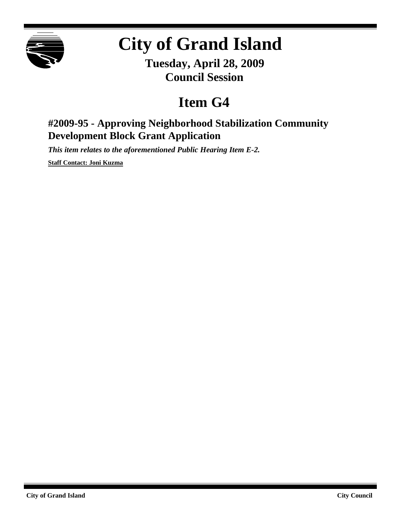

## **City of Grand Island**

**Tuesday, April 28, 2009 Council Session**

## **Item G4**

## **#2009-95 - Approving Neighborhood Stabilization Community Development Block Grant Application**

*This item relates to the aforementioned Public Hearing Item E-2.*

**Staff Contact: Joni Kuzma**